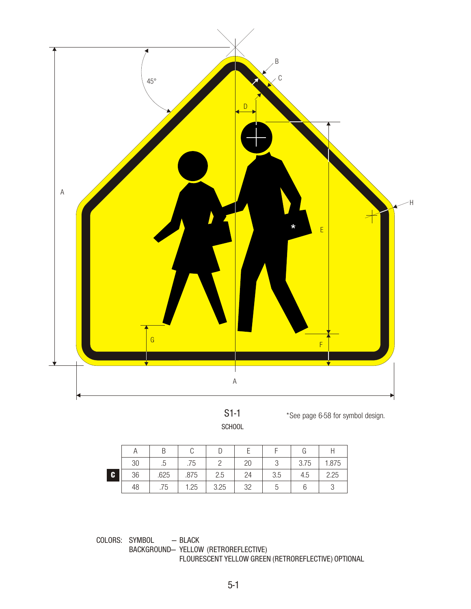

S1-1 **SCHOOL** 

\*See page 6-58 for symbol design.

|    |    |      |      |      |    |     | G    |       |
|----|----|------|------|------|----|-----|------|-------|
|    | 30 | c.   | .75  |      | 20 |     | 3.75 | 1.875 |
| C. | 36 | .625 | .875 | 2.5  | 24 | 3.5 | 4.5  | 2.25  |
|    | 48 | .75  | 1.25 | 3.25 | 32 |     |      | U     |

COLORS: SYMBOL — BLACK BACKGROUND— YELLOW (RETROREFLECTIVE) FLOURESCENT YELLOW GREEN (RETROREFLECTIVE) OPTIONAL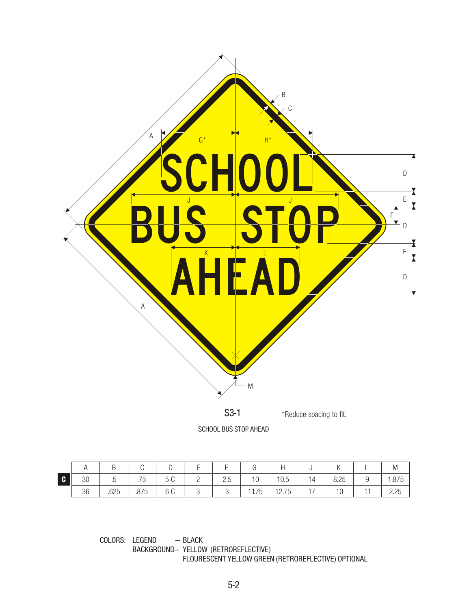

SCHOOL BUS STOP AHEAD

|              | $\cdot$ $\cdot$ | ◡    | ັ    | ◡        | <u>_</u> | -                      | ◡     |                         |                      |      | <u>_</u> | M     |
|--------------|-----------------|------|------|----------|----------|------------------------|-------|-------------------------|----------------------|------|----------|-------|
| $\mathbf{c}$ | 30              | ن.   | .75  | 50<br>◡◡ | <u>L</u> | $\cap$ $\Gamma$<br>ن.ے | 10    | 10.5                    | 14                   | 8.25 | ັ        | 1.875 |
|              | 36              | .625 | .875 | 6 C      |          | ັ                      | 11.75 | $\overline{1}$<br>12.75 | $\rightarrow$<br>. . | 10   |          | 2.25  |

COLORS: LEGEND — BLACK BACKGROUND— YELLOW (RETROREFLECTIVE) FLOURESCENT YELLOW GREEN (RETROREFLECTIVE) OPTIONAL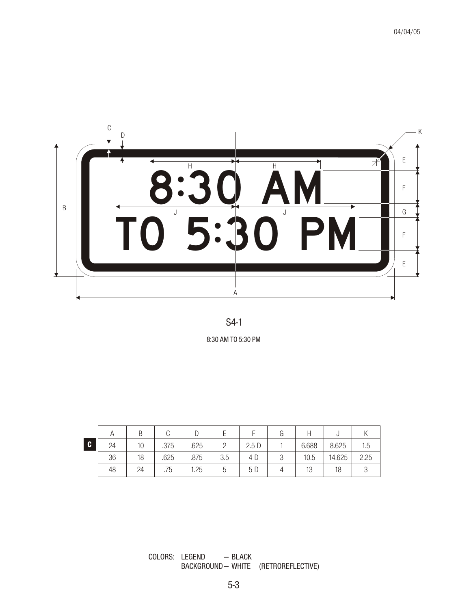



8:30 AM TO 5:30 PM

|   |    |    |      |      |     |      | G |          |        |      |
|---|----|----|------|------|-----|------|---|----------|--------|------|
| C | 24 | 10 | .375 | .625 |     | 2.5D |   | 6.688    | 8.625  | 1.5  |
|   | 36 | 18 | .625 | .875 | 3.5 | 4 D  |   | 10.5     | 14.625 | 2.25 |
|   | 48 | 24 | .75  | 1.25 |     | 5 D  |   | ⊣∩<br>ΙU | 18     |      |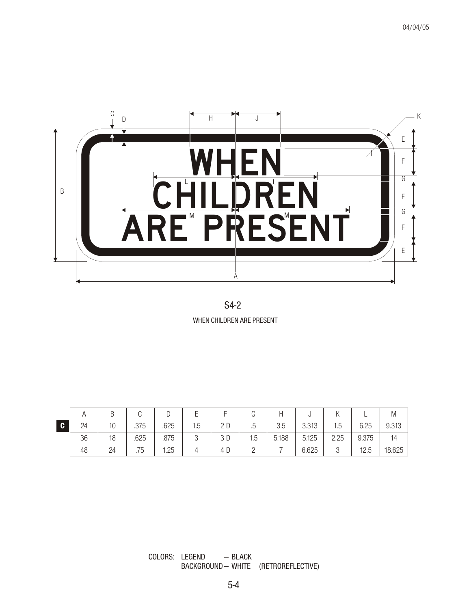



|              |    |    |      |      |        |     |         |       |       |        |       | M      |
|--------------|----|----|------|------|--------|-----|---------|-------|-------|--------|-------|--------|
| $\mathbf{c}$ | 24 | 10 | .375 | .625 | 1.5    | 2D  | 片<br>ن. | 3.5   | 3.313 | 1.5    | 6.25  | 9.313  |
|              | 36 | 18 | .625 | .875 | $\cap$ | 3 D | 1.5     | 5.188 | 5.125 | 2.25   | 9.375 | 14     |
|              | 48 | 24 | .75  | 1.25 |        | 4 D |         |       | 6.625 | ↷<br>J | 12.5  | 18.625 |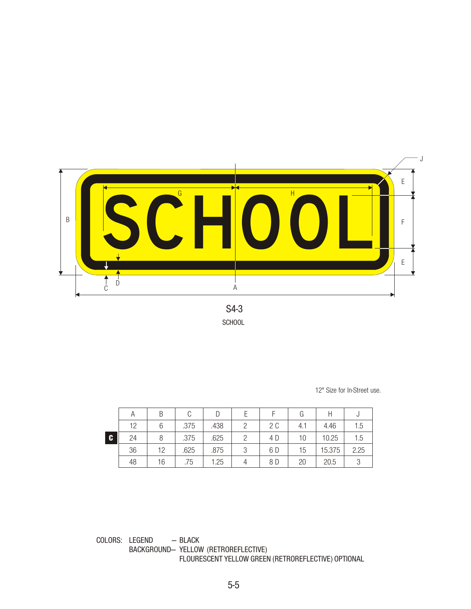

S4-3 **SCHOOL** 

12" Size for In-Street use.

|    | Α  |    |      |      |     | G   |        | U    |
|----|----|----|------|------|-----|-----|--------|------|
|    | 12 |    | .375 | .438 | 2 C | 4.1 | 4.46   | 1.5  |
| C. | 24 |    | .375 | .625 | 4 D | 10  | 10.25  | 1.5  |
|    | 36 | 12 | .625 | .875 | 6 D | 15  | 15.375 | 2.25 |
|    | 48 | 16 | .75  | 1.25 | 8 D | 20  | 20.5   |      |

COLORS: LEGEND — BLACK BACKGROUND- YELLOW (RETROREFLECTIVE) FLOURESCENT YELLOW GREEN (RETROREFLECTIVE) OPTIONAL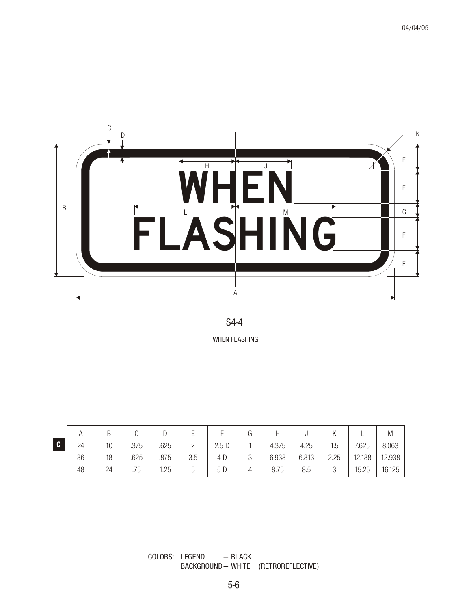

## S4-4

WHEN FLASHING

|     |    |    |      |      |     |      |       |       |      |        | M      |
|-----|----|----|------|------|-----|------|-------|-------|------|--------|--------|
| I C | 24 | 10 | .375 | .625 |     | 2.5D | 4.375 | 4.25  | 1.5  | 7.625  | 8.063  |
|     | 36 | 18 | .625 | .875 | 3.5 | 4 D  | 6.938 | 6.813 | 2.25 | 12.188 | 12.938 |
|     | 48 | 24 | .75  | 1.25 | b   | 5 D  | 8.75  | 8.5   | 3    | 15.25  | 16.125 |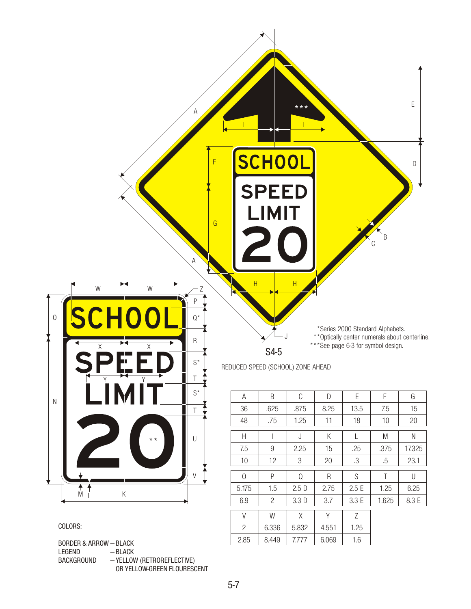

BACKGROUND —YELLOW (RETROREFLECTIVE) OR YELLOW-GREEN FLOURESCENT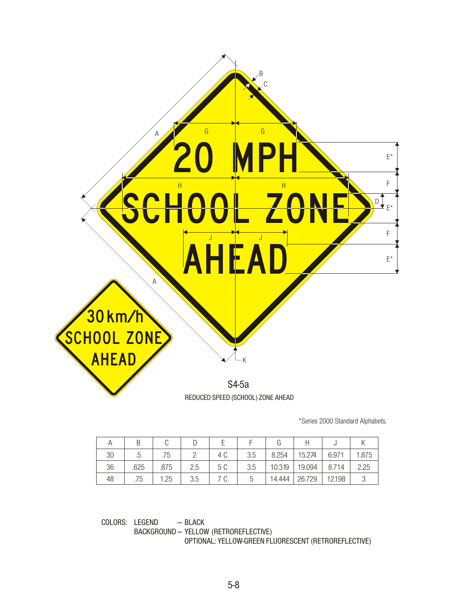

\*Series 2000 Standard Alphabets.

| 30 | .5   | .75  |     | 4 C | 3.5 | 8.254  | 15.274 | 6.971  | 1.875 |
|----|------|------|-----|-----|-----|--------|--------|--------|-------|
| 36 | .625 | .875 | 2.5 | 5 C | 3.5 | 10.319 | 19.094 | 8.714  | 2.25  |
| 48 | .75  | 1.25 | 3.5 | 7 C | b   | 14.444 | 26.729 | 12.198 |       |

COLORS: LEGEND — BLACK BACKGROUND — YELLOW (RETROREFLECTIVE) OPTIONAL: YELLOW-GREEN FLUORESCENT (RETROREFLECTIVE)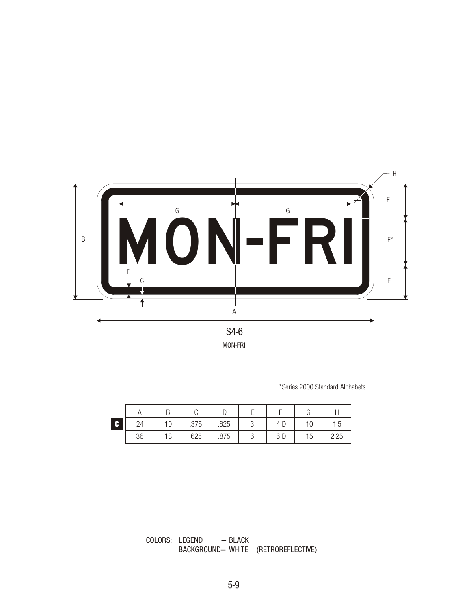

MON-FRI

\*Series 2000 Standard Alphabets.

| C |    | 10 | .375 | .625 | U | 4 D | 10 | 1.5  |
|---|----|----|------|------|---|-----|----|------|
|   | 36 | 18 | .625 | .875 |   | 6 D | 15 | 2.25 |

COLORS: LEGEND — BLACK BACKGROUND— WHITE (RETROREFLECTIVE)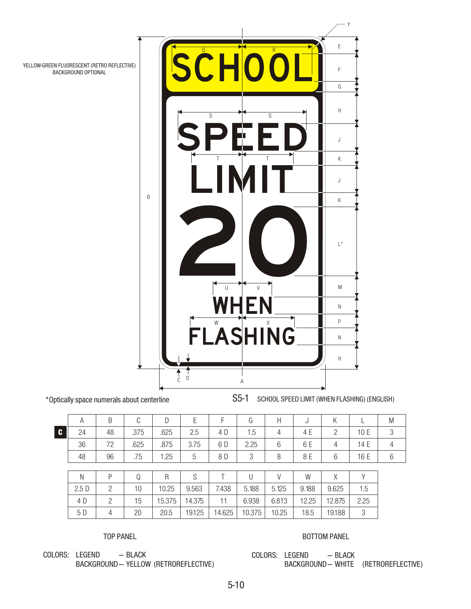

YELLOW-GREEN FLUORESCENT (RETRO REFLECTIVE) BACKGROUND OPTIONAL

\*Optically space numerals about centerline

S5-1 SCHOOL SPEED LIMIT (WHEN FLASHING) (ENGLISH)

|    | A  |    |      |      |      |     | G      | H |     |   |      | M |
|----|----|----|------|------|------|-----|--------|---|-----|---|------|---|
| C. | 24 | 48 | .375 | .625 | 2.5  | 4 D | 1.5    | 4 | 4 E |   | 10 E |   |
|    | 36 | 72 | .625 | .875 | 3.75 | 6 D | 2.25   | 6 | 6 E | 4 | 14 E |   |
|    | 48 | 96 | .75  | 1.25 | 5    | 8 D | $\cap$ | 8 | 8 E | 6 | 16 E | b |
|    |    |    |      |      |      |     |        |   |     |   |      |   |
|    | N  | D  |      | R    | C    |     |        |   | W   |   |      |   |

|      |    |        |        |        |        |       | W     |        |      |
|------|----|--------|--------|--------|--------|-------|-------|--------|------|
| 2.5D | 10 | 10.25  | 9.563  | 7.438  | 5.188  | 5.125 | 9.188 | 9.625  | 1.5  |
| 4 D  | 15 | 15.375 | 14.375 |        | 6.938  | 6.813 | 12.25 | 12.875 | 2.25 |
| 5 D  | 20 | 20.5   | 19.125 | 14.625 | 10.375 | 10.25 | 18.5  | 19.188 |      |

TOP PANEL

BOTTOM PANEL

COLORS: LEGEND — BLACK BACKGROUND— YELLOW (RETROREFLECTIVE) COLORS: LEGEND — BLACK BACKGROUND— WHITE (RETROREFLECTIVE)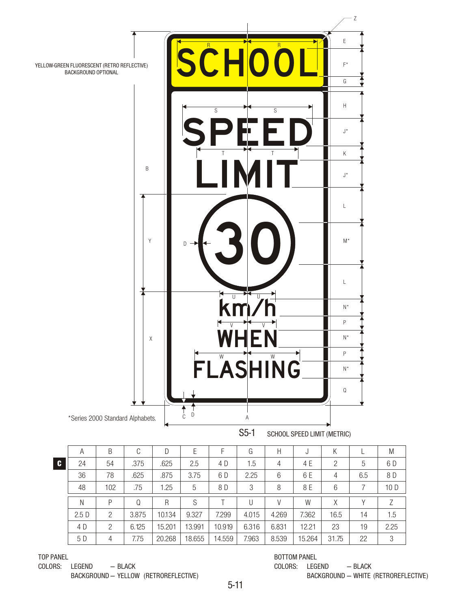

|              | A    | B   | C     | D      | Ε      |        | G     | Н     | J      | Κ              |     | M    |
|--------------|------|-----|-------|--------|--------|--------|-------|-------|--------|----------------|-----|------|
| $\mathbf{c}$ | 24   | 54  | .375  | .625   | 2.5    | 4 D    | 1.5   | 4     | 4 E    | $\overline{2}$ | 5   | 6 D  |
|              | 36   | 78  | .625  | .875   | 3.75   | 6 D    | 2.25  | 6     | 6 E    | 4              | 6.5 | 8 D  |
|              | 48   | 102 | .75   | 1.25   | 5      | 8 D    | 3     | 8     | 8 E    | 6              |     | 10 D |
|              | N    | P   | Q     | R      | S      |        |       | V     | W      | Χ              |     |      |
|              | 2.5D | 2   | 3.875 | 10.134 | 9.327  | 7.299  | 4.015 | 4.269 | 7.362  | 16.5           | 14  | 1.5  |
|              | 4 D  | 2   | 6.125 | 15.201 | 13.991 | 10.919 | 6.316 | 6.831 | 12.21  | 23             | 19  | 2.25 |
|              | 5 D  | 4   | 7.75  | 20.268 | 18.655 | 14.559 | 7.963 | 8.539 | 15.264 | 31.75          | 22  | 3    |

TOP PANEL

COLORS: LEGEND — BLACK BACKGROUND— YELLOW (RETROREFLECTIVE)

## BOTTOM PANEL

COLORS: LEGEND — BLACK BACKGROUND — WHITE (RETROREFLECTIVE)